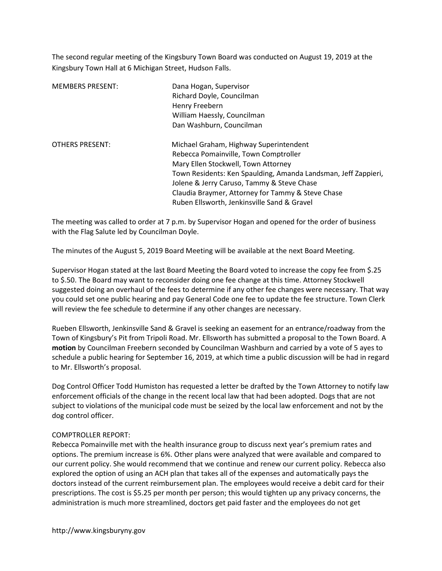The second regular meeting of the Kingsbury Town Board was conducted on August 19, 2019 at the Kingsbury Town Hall at 6 Michigan Street, Hudson Falls.

| <b>MEMBERS PRESENT:</b> | Dana Hogan, Supervisor<br>Richard Doyle, Councilman<br>Henry Freebern<br>William Haessly, Councilman<br>Dan Washburn, Councilman                                                                                                                                                                                                           |
|-------------------------|--------------------------------------------------------------------------------------------------------------------------------------------------------------------------------------------------------------------------------------------------------------------------------------------------------------------------------------------|
| <b>OTHERS PRESENT:</b>  | Michael Graham, Highway Superintendent<br>Rebecca Pomainville, Town Comptroller<br>Mary Ellen Stockwell, Town Attorney<br>Town Residents: Ken Spaulding, Amanda Landsman, Jeff Zappieri,<br>Jolene & Jerry Caruso, Tammy & Steve Chase<br>Claudia Braymer, Attorney for Tammy & Steve Chase<br>Ruben Ellsworth, Jenkinsville Sand & Gravel |

The meeting was called to order at 7 p.m. by Supervisor Hogan and opened for the order of business with the Flag Salute led by Councilman Doyle.

The minutes of the August 5, 2019 Board Meeting will be available at the next Board Meeting.

Supervisor Hogan stated at the last Board Meeting the Board voted to increase the copy fee from \$.25 to \$.50. The Board may want to reconsider doing one fee change at this time. Attorney Stockwell suggested doing an overhaul of the fees to determine if any other fee changes were necessary. That way you could set one public hearing and pay General Code one fee to update the fee structure. Town Clerk will review the fee schedule to determine if any other changes are necessary.

Rueben Ellsworth, Jenkinsville Sand & Gravel is seeking an easement for an entrance/roadway from the Town of Kingsbury's Pit from Tripoli Road. Mr. Ellsworth has submitted a proposal to the Town Board. A motion by Councilman Freebern seconded by Councilman Washburn and carried by a vote of 5 ayes to schedule a public hearing for September 16, 2019, at which time a public discussion will be had in regard to Mr. Ellsworth's proposal.

Dog Control Officer Todd Humiston has requested a letter be drafted by the Town Attorney to notify law enforcement officials of the change in the recent local law that had been adopted. Dogs that are not subject to violations of the municipal code must be seized by the local law enforcement and not by the dog control officer.

### COMPTROLLER REPORT:

Rebecca Pomainville met with the health insurance group to discuss next year's premium rates and options. The premium increase is 6%. Other plans were analyzed that were available and compared to our current policy. She would recommend that we continue and renew our current policy. Rebecca also explored the option of using an ACH plan that takes all of the expenses and automatically pays the doctors instead of the current reimbursement plan. The employees would receive a debit card for their prescriptions. The cost is \$5.25 per month per person; this would tighten up any privacy concerns, the administration is much more streamlined, doctors get paid faster and the employees do not get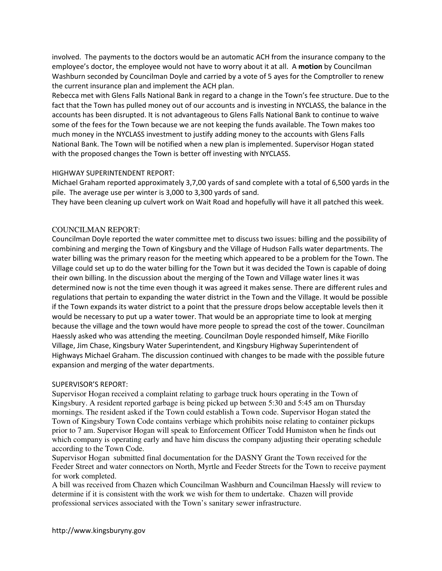involved. The payments to the doctors would be an automatic ACH from the insurance company to the employee's doctor, the employee would not have to worry about it at all. A motion by Councilman Washburn seconded by Councilman Doyle and carried by a vote of 5 ayes for the Comptroller to renew the current insurance plan and implement the ACH plan.

Rebecca met with Glens Falls National Bank in regard to a change in the Town's fee structure. Due to the fact that the Town has pulled money out of our accounts and is investing in NYCLASS, the balance in the accounts has been disrupted. It is not advantageous to Glens Falls National Bank to continue to waive some of the fees for the Town because we are not keeping the funds available. The Town makes too much money in the NYCLASS investment to justify adding money to the accounts with Glens Falls National Bank. The Town will be notified when a new plan is implemented. Supervisor Hogan stated with the proposed changes the Town is better off investing with NYCLASS.

# HIGHWAY SUPERINTENDENT REPORT:

Michael Graham reported approximately 3,7,00 yards of sand complete with a total of 6,500 yards in the pile. The average use per winter is 3,000 to 3,300 yards of sand.

They have been cleaning up culvert work on Wait Road and hopefully will have it all patched this week.

# COUNCILMAN REPORT:

Councilman Doyle reported the water committee met to discuss two issues: billing and the possibility of combining and merging the Town of Kingsbury and the Village of Hudson Falls water departments. The water billing was the primary reason for the meeting which appeared to be a problem for the Town. The Village could set up to do the water billing for the Town but it was decided the Town is capable of doing their own billing. In the discussion about the merging of the Town and Village water lines it was determined now is not the time even though it was agreed it makes sense. There are different rules and regulations that pertain to expanding the water district in the Town and the Village. It would be possible if the Town expands its water district to a point that the pressure drops below acceptable levels then it would be necessary to put up a water tower. That would be an appropriate time to look at merging because the village and the town would have more people to spread the cost of the tower. Councilman Haessly asked who was attending the meeting. Councilman Doyle responded himself, Mike Fiorillo Village, Jim Chase, Kingsbury Water Superintendent, and Kingsbury Highway Superintendent of Highways Michael Graham. The discussion continued with changes to be made with the possible future expansion and merging of the water departments.

# SUPERVISOR'S REPORT:

Supervisor Hogan received a complaint relating to garbage truck hours operating in the Town of Kingsbury. A resident reported garbage is being picked up between 5:30 and 5:45 am on Thursday mornings. The resident asked if the Town could establish a Town code. Supervisor Hogan stated the Town of Kingsbury Town Code contains verbiage which prohibits noise relating to container pickups prior to 7 am. Supervisor Hogan will speak to Enforcement Officer Todd Humiston when he finds out which company is operating early and have him discuss the company adjusting their operating schedule according to the Town Code.

Supervisor Hogan submitted final documentation for the DASNY Grant the Town received for the Feeder Street and water connectors on North, Myrtle and Feeder Streets for the Town to receive payment for work completed.

A bill was received from Chazen which Councilman Washburn and Councilman Haessly will review to determine if it is consistent with the work we wish for them to undertake. Chazen will provide professional services associated with the Town's sanitary sewer infrastructure.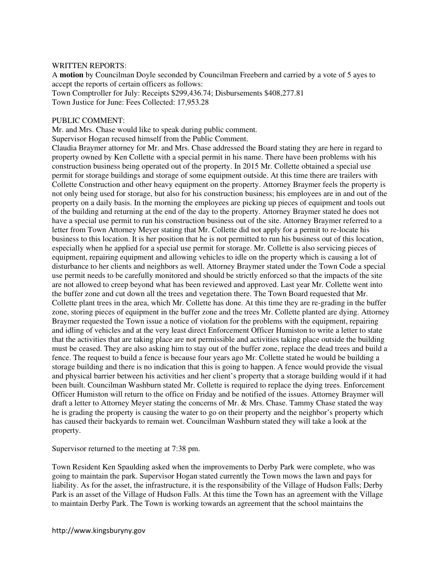### WRITTEN REPORTS:

A **motion** by Councilman Doyle seconded by Councilman Freebern and carried by a vote of 5 ayes to accept the reports of certain officers as follows: Town Comptroller for July: Receipts \$299,436.74; Disbursements \$408,277.81 Town Justice for June: Fees Collected: 17,953.28

### PUBLIC COMMENT:

Mr. and Mrs. Chase would like to speak during public comment.

Supervisor Hogan recused himself from the Public Comment.

Claudia Braymer attorney for Mr. and Mrs. Chase addressed the Board stating they are here in regard to property owned by Ken Collette with a special permit in his name. There have been problems with his construction business being operated out of the property. In 2015 Mr. Collette obtained a special use permit for storage buildings and storage of some equipment outside. At this time there are trailers with Collette Construction and other heavy equipment on the property. Attorney Braymer feels the property is not only being used for storage, but also for his construction business; his employees are in and out of the property on a daily basis. In the morning the employees are picking up pieces of equipment and tools out of the building and returning at the end of the day to the property. Attorney Braymer stated he does not have a special use permit to run his construction business out of the site. Attorney Braymer referred to a letter from Town Attorney Meyer stating that Mr. Collette did not apply for a permit to re-locate his business to this location. It is her position that he is not permitted to run his business out of this location, especially when he applied for a special use permit for storage. Mr. Collette is also servicing pieces of equipment, repairing equipment and allowing vehicles to idle on the property which is causing a lot of disturbance to her clients and neighbors as well. Attorney Braymer stated under the Town Code a special use permit needs to be carefully monitored and should be strictly enforced so that the impacts of the site are not allowed to creep beyond what has been reviewed and approved. Last year Mr. Collette went into the buffer zone and cut down all the trees and vegetation there. The Town Board requested that Mr. Collette plant trees in the area, which Mr. Collette has done. At this time they are re-grading in the buffer zone, storing pieces of equipment in the buffer zone and the trees Mr. Collette planted are dying. Attorney Braymer requested the Town issue a notice of violation for the problems with the equipment, repairing and idling of vehicles and at the very least direct Enforcement Officer Humiston to write a letter to state that the activities that are taking place are not permissible and activities taking place outside the building must be ceased. They are also asking him to stay out of the buffer zone, replace the dead trees and build a fence. The request to build a fence is because four years ago Mr. Collette stated he would be building a storage building and there is no indication that this is going to happen. A fence would provide the visual and physical barrier between his activities and her client's property that a storage building would if it had been built. Councilman Washburn stated Mr. Collette is required to replace the dying trees. Enforcement Officer Humiston will return to the office on Friday and be notified of the issues. Attorney Braymer will draft a letter to Attorney Meyer stating the concerns of Mr. & Mrs. Chase. Tammy Chase stated the way he is grading the property is causing the water to go on their property and the neighbor's property which has caused their backyards to remain wet. Councilman Washburn stated they will take a look at the property.

Supervisor returned to the meeting at 7:38 pm.

Town Resident Ken Spaulding asked when the improvements to Derby Park were complete, who was going to maintain the park. Supervisor Hogan stated currently the Town mows the lawn and pays for liability. As for the asset, the infrastructure, it is the responsibility of the Village of Hudson Falls; Derby Park is an asset of the Village of Hudson Falls. At this time the Town has an agreement with the Village to maintain Derby Park. The Town is working towards an agreement that the school maintains the